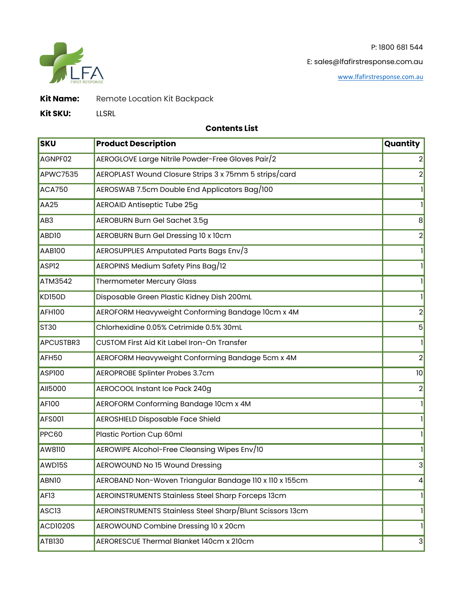P: 1800 681 544



E: sales@lfafirstresponse.com.au

[www.lfafirstres](http://www.lfafirstresponse.com.au/)ponse.com.au

**Kit Name:** Remote Location Kit Backpack

**Kit SKU:** LLSRL

## **Contents List**

| <b>SKU</b>        | <b>Product Description</b>                                | Quantity       |
|-------------------|-----------------------------------------------------------|----------------|
| AGNPF02           | AEROGLOVE Large Nitrile Powder-Free Gloves Pair/2         | $\overline{2}$ |
| <b>APWC7535</b>   | AEROPLAST Wound Closure Strips 3 x 75mm 5 strips/card     | $\overline{2}$ |
| <b>ACA750</b>     | AEROSWAB 7.5cm Double End Applicators Bag/100             | $\mathbf{1}$   |
| AA25              | <b>AEROAID Antiseptic Tube 25g</b>                        | $\mathbf{I}$   |
| AB3               | AEROBURN Burn Gel Sachet 3.5g                             | 8 <sup>1</sup> |
| ABD <sub>10</sub> | AEROBURN Burn Gel Dressing 10 x 10cm                      | $\overline{2}$ |
| <b>AAB100</b>     | AEROSUPPLIES Amputated Parts Bags Env/3                   | $\mathbf{1}$   |
| ASP <sub>12</sub> | AEROPINS Medium Safety Pins Bag/12                        | Ш              |
| ATM3542           | <b>Thermometer Mercury Glass</b>                          | $\mathbf{I}$   |
| <b>KD150D</b>     | Disposable Green Plastic Kidney Dish 200mL                | $\mathbf{1}$   |
| <b>AFH100</b>     | AEROFORM Heavyweight Conforming Bandage 10cm x 4M         | $\overline{2}$ |
| <b>ST30</b>       | Chlorhexidine 0.05% Cetrimide 0.5% 30mL                   | 5              |
| APCUSTBR3         | CUSTOM First Aid Kit Label Iron-On Transfer               | $\mathbf{I}$   |
| AFH50             | AEROFORM Heavyweight Conforming Bandage 5cm x 4M          | $\overline{2}$ |
| <b>ASP100</b>     | AEROPROBE Splinter Probes 3.7cm                           | 0              |
| AII5000           | AEROCOOL Instant Ice Pack 240g                            | $\overline{2}$ |
| AF100             | AEROFORM Conforming Bandage 10cm x 4M                     | $\mathbf{1}$   |
| <b>AFS001</b>     | <b>AEROSHIELD Disposable Face Shield</b>                  | 1              |
| <b>PPC60</b>      | Plastic Portion Cup 60ml                                  | 1              |
| AW8110            | AEROWIPE Alcohol-Free Cleansing Wipes Env/10              | $\mathbf{I}$   |
| AWD15S            | AEROWOUND No 15 Wound Dressing                            | 3              |
| ABNI0             | AEROBAND Non-Woven Triangular Bandage 110 x 110 x 155cm   | $\vert$        |
| AF <sub>13</sub>  | AEROINSTRUMENTS Stainless Steel Sharp Forceps 13cm        | $\mathbf{1}$   |
| ASC <sub>13</sub> | AEROINSTRUMENTS Stainless Steel Sharp/Blunt Scissors 13cm | H              |
| ACDI020S          | AEROWOUND Combine Dressing 10 x 20cm                      | Ш              |
| ATB130            | AERORESCUE Thermal Blanket 140cm x 210cm                  | 3              |